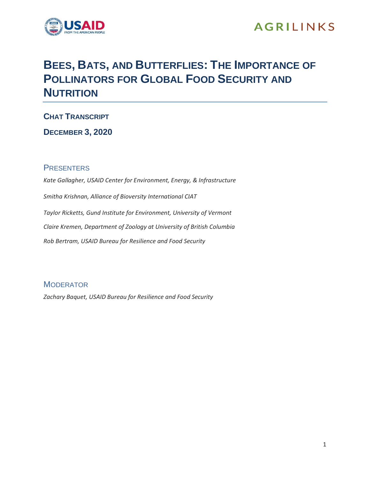

## **AGRILINKS**

## **BEES, BATS, AND BUTTERFLIES: THE IMPORTANCE OF POLLINATORS FOR GLOBAL FOOD SECURITY AND NUTRITION**

**CHAT TRANSCRIPT**

**DECEMBER 3, 2020**

## **PRESENTERS**

*Kate Gallagher, USAID Center for Environment, Energy, & Infrastructure Smitha Krishnan, Alliance of Bioversity International CIAT Taylor Ricketts, Gund Institute for Environment, University of Vermont Claire Kremen, Department of Zoology at University of British Columbia Rob Bertram, USAID Bureau for Resilience and Food Security*

**MODERATOR** 

*Zachary Baquet, USAID Bureau for Resilience and Food Security*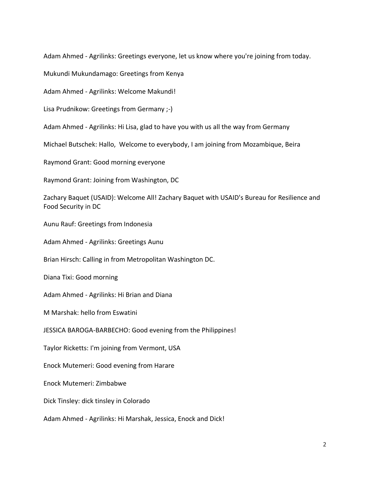Adam Ahmed - Agrilinks: Greetings everyone, let us know where you're joining from today.

Mukundi Mukundamago: Greetings from Kenya

Adam Ahmed - Agrilinks: Welcome Makundi!

Lisa Prudnikow: Greetings from Germany ;-)

Adam Ahmed - Agrilinks: Hi Lisa, glad to have you with us all the way from Germany

Michael Butschek: Hallo, Welcome to everybody, I am joining from Mozambique, Beira

Raymond Grant: Good morning everyone

Raymond Grant: Joining from Washington, DC

Zachary Baquet (USAID): Welcome All! Zachary Baquet with USAID's Bureau for Resilience and Food Security in DC

Aunu Rauf: Greetings from Indonesia

Adam Ahmed - Agrilinks: Greetings Aunu

Brian Hirsch: Calling in from Metropolitan Washington DC.

Diana Tixi: Good morning

Adam Ahmed - Agrilinks: Hi Brian and Diana

M Marshak: hello from Eswatini

JESSICA BAROGA-BARBECHO: Good evening from the Philippines!

Taylor Ricketts: I'm joining from Vermont, USA

Enock Mutemeri: Good evening from Harare

Enock Mutemeri: Zimbabwe

Dick Tinsley: dick tinsley in Colorado

Adam Ahmed - Agrilinks: Hi Marshak, Jessica, Enock and Dick!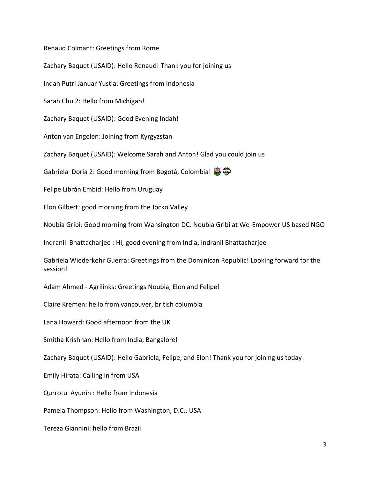Renaud Colmant: Greetings from Rome Zachary Baquet (USAID): Hello Renaud! Thank you for joining us Indah Putri Januar Yustia: Greetings from Indonesia Sarah Chu 2: Hello from Michigan! Zachary Baquet (USAID): Good Evening Indah! Anton van Engelen: Joining from Kyrgyzstan Zachary Baquet (USAID): Welcome Sarah and Anton! Glad you could join us Gabriela Doria 2: Good morning from Bogotá, Colombia!  $\mathbb{Q}$ Felipe Librán Embid: Hello from Uruguay Elon Gilbert: good morning from the Jocko Valley Noubia Gribi: Good morning from Wahsington DC. Noubia Gribi at We-Empower US based NGO Indranil Bhattacharjee : Hi, good evening from India, Indranil Bhattacharjee Gabriela Wiederkehr Guerra: Greetings from the Dominican Republic! Looking forward for the session! Adam Ahmed - Agrilinks: Greetings Noubia, Elon and Felipe! Claire Kremen: hello from vancouver, british columbia Lana Howard: Good afternoon from the UK Smitha Krishnan: Hello from India, Bangalore! Zachary Baquet (USAID): Hello Gabriela, Felipe, and Elon! Thank you for joining us today!

Emily Hirata: Calling in from USA

Qurrotu Ayunin : Hello from Indonesia

Pamela Thompson: Hello from Washington, D.C., USA

Tereza Giannini: hello from Brazil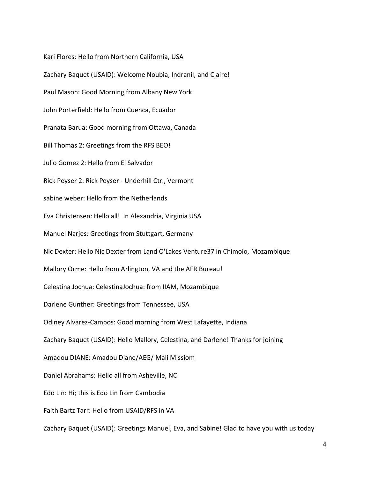Kari Flores: Hello from Northern California, USA Zachary Baquet (USAID): Welcome Noubia, Indranil, and Claire! Paul Mason: Good Morning from Albany New York John Porterfield: Hello from Cuenca, Ecuador Pranata Barua: Good morning from Ottawa, Canada Bill Thomas 2: Greetings from the RFS BEO! Julio Gomez 2: Hello from El Salvador Rick Peyser 2: Rick Peyser - Underhill Ctr., Vermont sabine weber: Hello from the Netherlands Eva Christensen: Hello all! In Alexandria, Virginia USA Manuel Narjes: Greetings from Stuttgart, Germany Nic Dexter: Hello Nic Dexter from Land O'Lakes Venture37 in Chimoio, Mozambique Mallory Orme: Hello from Arlington, VA and the AFR Bureau! Celestina Jochua: CelestinaJochua: from IIAM, Mozambique Darlene Gunther: Greetings from Tennessee, USA Odiney Alvarez-Campos: Good morning from West Lafayette, Indiana Zachary Baquet (USAID): Hello Mallory, Celestina, and Darlene! Thanks for joining Amadou DIANE: Amadou Diane/AEG/ Mali Missiom Daniel Abrahams: Hello all from Asheville, NC Edo Lin: Hi; this is Edo Lin from Cambodia Faith Bartz Tarr: Hello from USAID/RFS in VA Zachary Baquet (USAID): Greetings Manuel, Eva, and Sabine! Glad to have you with us today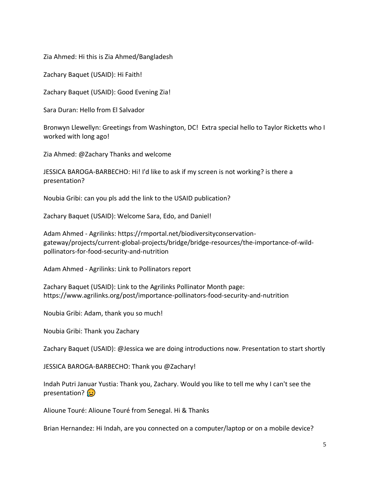Zia Ahmed: Hi this is Zia Ahmed/Bangladesh

Zachary Baquet (USAID): Hi Faith!

Zachary Baquet (USAID): Good Evening Zia!

Sara Duran: Hello from El Salvador

Bronwyn Llewellyn: Greetings from Washington, DC! Extra special hello to Taylor Ricketts who I worked with long ago!

Zia Ahmed: @Zachary Thanks and welcome

JESSICA BAROGA-BARBECHO: Hi! I'd like to ask if my screen is not working? is there a presentation?

Noubia Gribi: can you pls add the link to the USAID publication?

Zachary Baquet (USAID): Welcome Sara, Edo, and Daniel!

Adam Ahmed - Agrilinks: https://rmportal.net/biodiversityconservationgateway/projects/current-global-projects/bridge/bridge-resources/the-importance-of-wildpollinators-for-food-security-and-nutrition

Adam Ahmed - Agrilinks: Link to Pollinators report

Zachary Baquet (USAID): Link to the Agrilinks Pollinator Month page: https://www.agrilinks.org/post/importance-pollinators-food-security-and-nutrition

Noubia Gribi: Adam, thank you so much!

Noubia Gribi: Thank you Zachary

Zachary Baquet (USAID): @Jessica we are doing introductions now. Presentation to start shortly

JESSICA BAROGA-BARBECHO: Thank you @Zachary!

Indah Putri Januar Yustia: Thank you, Zachary. Would you like to tell me why I can't see the presentation?  $\left( \cdot \right)$ 

Alioune Touré: Alioune Touré from Senegal. Hi & Thanks

Brian Hernandez: Hi Indah, are you connected on a computer/laptop or on a mobile device?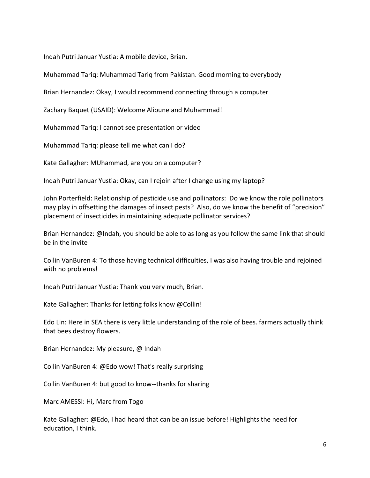Indah Putri Januar Yustia: A mobile device, Brian.

Muhammad Tariq: Muhammad Tariq from Pakistan. Good morning to everybody

Brian Hernandez: Okay, I would recommend connecting through a computer

Zachary Baquet (USAID): Welcome Alioune and Muhammad!

Muhammad Tariq: I cannot see presentation or video

Muhammad Tariq: please tell me what can I do?

Kate Gallagher: MUhammad, are you on a computer?

Indah Putri Januar Yustia: Okay, can I rejoin after I change using my laptop?

John Porterfield: Relationship of pesticide use and pollinators: Do we know the role pollinators may play in offsetting the damages of insect pests? Also, do we know the benefit of "precision" placement of insecticides in maintaining adequate pollinator services?

Brian Hernandez: @Indah, you should be able to as long as you follow the same link that should be in the invite

Collin VanBuren 4: To those having technical difficulties, I was also having trouble and rejoined with no problems!

Indah Putri Januar Yustia: Thank you very much, Brian.

Kate Gallagher: Thanks for letting folks know @Collin!

Edo Lin: Here in SEA there is very little understanding of the role of bees. farmers actually think that bees destroy flowers.

Brian Hernandez: My pleasure, @ Indah

Collin VanBuren 4: @Edo wow! That's really surprising

Collin VanBuren 4: but good to know--thanks for sharing

Marc AMESSI: Hi, Marc from Togo

Kate Gallagher: @Edo, I had heard that can be an issue before! Highlights the need for education, I think.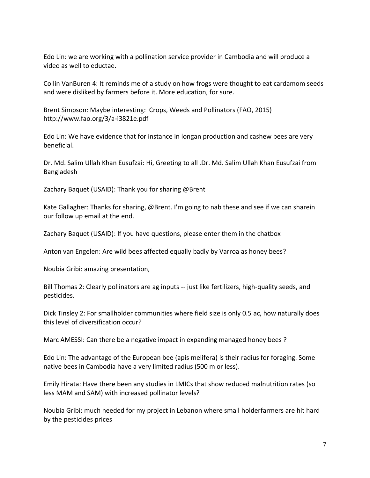Edo Lin: we are working with a pollination service provider in Cambodia and will produce a video as well to eductae.

Collin VanBuren 4: It reminds me of a study on how frogs were thought to eat cardamom seeds and were disliked by farmers before it. More education, for sure.

Brent Simpson: Maybe interesting: Crops, Weeds and Pollinators (FAO, 2015) http://www.fao.org/3/a-i3821e.pdf

Edo Lin: We have evidence that for instance in longan production and cashew bees are very beneficial.

Dr. Md. Salim Ullah Khan Eusufzai: Hi, Greeting to all .Dr. Md. Salim Ullah Khan Eusufzai from Bangladesh

Zachary Baquet (USAID): Thank you for sharing @Brent

Kate Gallagher: Thanks for sharing, @Brent. I'm going to nab these and see if we can sharein our follow up email at the end.

Zachary Baquet (USAID): If you have questions, please enter them in the chatbox

Anton van Engelen: Are wild bees affected equally badly by Varroa as honey bees?

Noubia Gribi: amazing presentation,

Bill Thomas 2: Clearly pollinators are ag inputs -- just like fertilizers, high-quality seeds, and pesticides.

Dick Tinsley 2: For smallholder communities where field size is only 0.5 ac, how naturally does this level of diversification occur?

Marc AMESSI: Can there be a negative impact in expanding managed honey bees ?

Edo Lin: The advantage of the European bee (apis melifera) is their radius for foraging. Some native bees in Cambodia have a very limited radius (500 m or less).

Emily Hirata: Have there been any studies in LMICs that show reduced malnutrition rates (so less MAM and SAM) with increased pollinator levels?

Noubia Gribi: much needed for my project in Lebanon where small holderfarmers are hit hard by the pesticides prices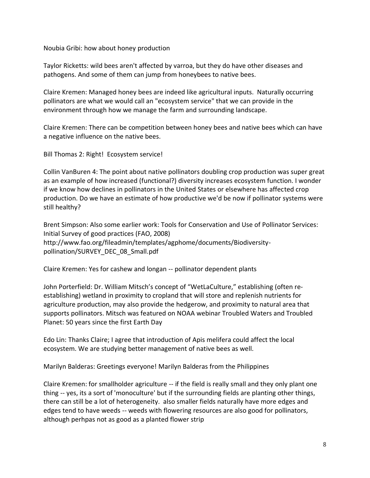Noubia Gribi: how about honey production

Taylor Ricketts: wild bees aren't affected by varroa, but they do have other diseases and pathogens. And some of them can jump from honeybees to native bees.

Claire Kremen: Managed honey bees are indeed like agricultural inputs. Naturally occurring pollinators are what we would call an "ecosystem service" that we can provide in the environment through how we manage the farm and surrounding landscape.

Claire Kremen: There can be competition between honey bees and native bees which can have a negative influence on the native bees.

Bill Thomas 2: Right! Ecosystem service!

Collin VanBuren 4: The point about native pollinators doubling crop production was super great as an example of how increased (functional?) diversity increases ecosystem function. I wonder if we know how declines in pollinators in the United States or elsewhere has affected crop production. Do we have an estimate of how productive we'd be now if pollinator systems were still healthy?

Brent Simpson: Also some earlier work: Tools for Conservation and Use of Pollinator Services: Initial Survey of good practices (FAO, 2008) http://www.fao.org/fileadmin/templates/agphome/documents/Biodiversitypollination/SURVEY\_DEC\_08\_Small.pdf

Claire Kremen: Yes for cashew and longan -- pollinator dependent plants

John Porterfield: Dr. William Mitsch's concept of "WetLaCulture," establishing (often reestablishing) wetland in proximity to cropland that will store and replenish nutrients for agriculture production, may also provide the hedgerow, and proximity to natural area that supports pollinators. Mitsch was featured on NOAA webinar Troubled Waters and Troubled Planet: 50 years since the first Earth Day

Edo Lin: Thanks Claire; I agree that introduction of Apis melifera could affect the local ecosystem. We are studying better management of native bees as well.

Marilyn Balderas: Greetings everyone! Marilyn Balderas from the Philippines

Claire Kremen: for smallholder agriculture -- if the field is really small and they only plant one thing -- yes, its a sort of 'monoculture' but if the surrounding fields are planting other things, there can still be a lot of heterogeneity. also smaller fields naturally have more edges and edges tend to have weeds -- weeds with flowering resources are also good for pollinators, although perhpas not as good as a planted flower strip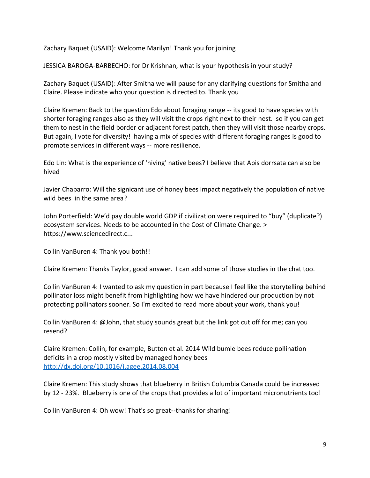Zachary Baquet (USAID): Welcome Marilyn! Thank you for joining

JESSICA BAROGA-BARBECHO: for Dr Krishnan, what is your hypothesis in your study?

Zachary Baquet (USAID): After Smitha we will pause for any clarifying questions for Smitha and Claire. Please indicate who your question is directed to. Thank you

Claire Kremen: Back to the question Edo about foraging range -- its good to have species with shorter foraging ranges also as they will visit the crops right next to their nest. so if you can get them to nest in the field border or adjacent forest patch, then they will visit those nearby crops. But again, I vote for diversity! having a mix of species with different foraging ranges is good to promote services in different ways -- more resilience.

Edo Lin: What is the experience of 'hiving' native bees? I believe that Apis dorrsata can also be hived

Javier Chaparro: Will the signicant use of honey bees impact negatively the population of native wild bees in the same area?

John Porterfield: We'd pay double world GDP if civilization were required to "buy" (duplicate?) ecosystem services. Needs to be accounted in the Cost of Climate Change. > https://www.sciencedirect.c...

Collin VanBuren 4: Thank you both!!

Claire Kremen: Thanks Taylor, good answer. I can add some of those studies in the chat too.

Collin VanBuren 4: I wanted to ask my question in part because I feel like the storytelling behind pollinator loss might benefit from highlighting how we have hindered our production by not protecting pollinators sooner. So I'm excited to read more about your work, thank you!

Collin VanBuren 4: @John, that study sounds great but the link got cut off for me; can you resend?

Claire Kremen: Collin, for example, Button et al. 2014 Wild bumle bees reduce pollination deficits in a crop mostly visited by managed honey bees <http://dx.doi.org/10.1016/j.agee.2014.08.004>

Claire Kremen: This study shows that blueberry in British Columbia Canada could be increased by 12 - 23%. Blueberry is one of the crops that provides a lot of important micronutrients too!

Collin VanBuren 4: Oh wow! That's so great--thanks for sharing!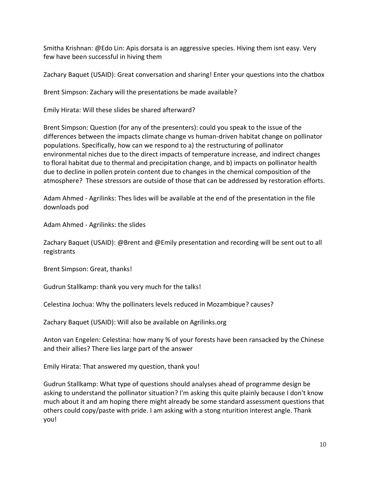Smitha Krishnan: @Edo Lin: Apis dorsata is an aggressive species. Hiving them isnt easy. Very few have been successful in hiving them

Zachary Baquet (USAID): Great conversation and sharing! Enter your questions into the chatbox

Brent Simpson: Zachary will the presentations be made available?

Emily Hirata: Will these slides be shared afterward?

Brent Simpson: Question (for any of the presenters): could you speak to the issue of the differences between the impacts climate change vs human-driven habitat change on pollinator populations. Specifically, how can we respond to a) the restructuring of pollinator environmental niches due to the direct impacts of temperature increase, and indirect changes to floral habitat due to thermal and precipitation change, and b) impacts on pollinator health due to decline in pollen protein content due to changes in the chemical composition of the atmosphere? These stressors are outside of those that can be addressed by restoration efforts.

Adam Ahmed - Agrilinks: Thes lides will be available at the end of the presentation in the file downloads pod

Adam Ahmed - Agrilinks: the slides

| Zachary Baquet (USAID): @Brent and @Emily presentation and recording will be sent out to all |  |
|----------------------------------------------------------------------------------------------|--|
| registrants                                                                                  |  |

Brent Simpson: Great, thanks!

Gudrun Stallkamp: thank you very much for the talks!

Celestina Jochua: Why the pollinaters levels reduced in Mozambique? causes?

Zachary Baquet (USAID): Will also be available on Agrilinks.org

Anton van Engelen: Celestina: how many % of your forests have been ransacked by the Chinese and their allies? There lies large part of the answer

Emily Hirata: That answered my question, thank you!

Gudrun Stallkamp: What type of questions should analyses ahead of programme design be asking to understand the pollinator situation? I'm asking this quite plainly because I don't know much about it and am hoping there might already be some standard assessment questions that others could copy/paste with pride. I am asking with a stong nturition interest angle. Thank you!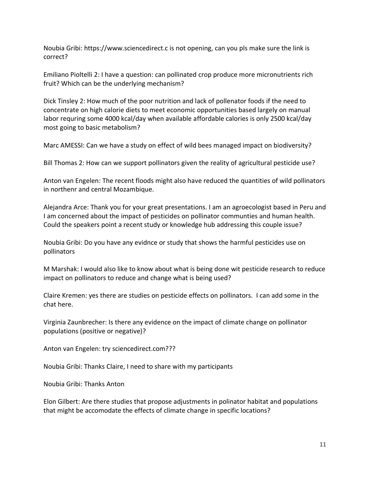Noubia Gribi: https://www.sciencedirect.c is not opening, can you pls make sure the link is correct?

Emiliano Pioltelli 2: I have a question: can pollinated crop produce more micronutrients rich fruit? Which can be the underlying mechanism?

Dick Tinsley 2: How much of the poor nutrition and lack of pollenator foods if the need to concentrate on high calorie diets to meet economic opportunities based largely on manual labor requring some 4000 kcal/day when available affordable calories is only 2500 kcal/day most going to basic metabolism?

Marc AMESSI: Can we have a study on effect of wild bees managed impact on biodiversity?

Bill Thomas 2: How can we support pollinators given the reality of agricultural pesticide use?

Anton van Engelen: The recent floods might also have reduced the quantities of wild pollinators in northenr and central Mozambique.

Alejandra Arce: Thank you for your great presentations. I am an agroecologist based in Peru and I am concerned about the impact of pesticides on pollinator communties and human health. Could the speakers point a recent study or knowledge hub addressing this couple issue?

Noubia Gribi: Do you have any evidnce or study that shows the harmful pesticides use on pollinators

M Marshak: I would also like to know about what is being done wit pesticide research to reduce impact on pollinators to reduce and change what is being used?

Claire Kremen: yes there are studies on pesticide effects on pollinators. I can add some in the chat here.

Virginia Zaunbrecher: Is there any evidence on the impact of climate change on pollinator populations (positive or negative)?

Anton van Engelen: try sciencedirect.com???

Noubia Gribi: Thanks Claire, I need to share with my participants

Noubia Gribi: Thanks Anton

Elon Gilbert: Are there studies that propose adjustments in polinator habitat and populations that might be accomodate the effects of climate change in specific locations?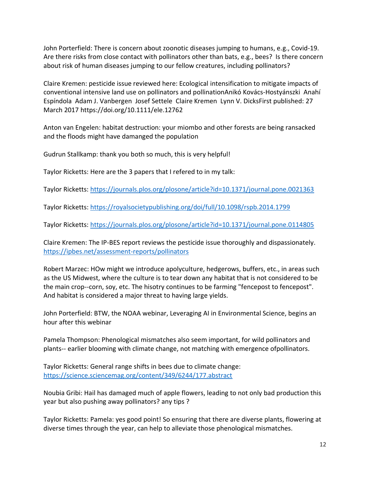John Porterfield: There is concern about zoonotic diseases jumping to humans, e.g., Covid-19. Are there risks from close contact with pollinators other than bats, e.g., bees? Is there concern about risk of human diseases jumping to our fellow creatures, including pollinators?

Claire Kremen: pesticide issue reviewed here: Ecological intensification to mitigate impacts of conventional intensive land use on pollinators and pollinationAnikó Kovács‐Hostyánszki Anahí Espíndola Adam J. Vanbergen Josef Settele Claire Kremen Lynn V. DicksFirst published: 27 March 2017 https://doi.org/10.1111/ele.12762

Anton van Engelen: habitat destruction: your miombo and other forests are being ransacked and the floods might have damanged the population

Gudrun Stallkamp: thank you both so much, this is very helpful!

Taylor Ricketts: Here are the 3 papers that I refered to in my talk:

Taylor Ricketts:<https://journals.plos.org/plosone/article?id=10.1371/journal.pone.0021363>

Taylor Ricketts:<https://royalsocietypublishing.org/doi/full/10.1098/rspb.2014.1799>

Taylor Ricketts:<https://journals.plos.org/plosone/article?id=10.1371/journal.pone.0114805>

Claire Kremen: The IP-BES report reviews the pesticide issue thoroughly and dispassionately. <https://ipbes.net/assessment-reports/pollinators>

Robert Marzec: HOw might we introduce apolyculture, hedgerows, buffers, etc., in areas such as the US Midwest, where the culture is to tear down any habitat that is not considered to be the main crop--corn, soy, etc. The hisotry continues to be farming "fencepost to fencepost". And habitat is considered a major threat to having large yields.

John Porterfield: BTW, the NOAA webinar, Leveraging AI in Environmental Science, begins an hour after this webinar

Pamela Thompson: Phenological mismatches also seem important, for wild pollinators and plants-- earlier blooming with climate change, not matching with emergence ofpollinators.

Taylor Ricketts: General range shifts in bees due to climate change: <https://science.sciencemag.org/content/349/6244/177.abstract>

Noubia Gribi: Hail has damaged much of apple flowers, leading to not only bad production this year but also pushing away pollinators? any tips ?

Taylor Ricketts: Pamela: yes good point! So ensuring that there are diverse plants, flowering at diverse times through the year, can help to alleviate those phenological mismatches.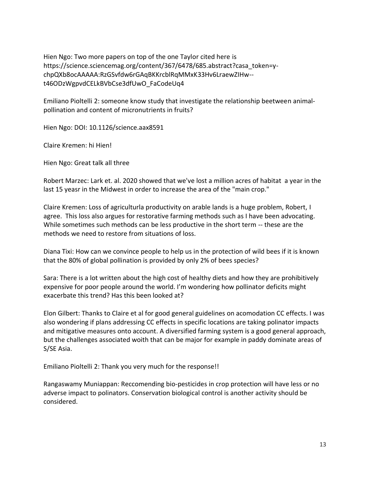Hien Ngo: Two more papers on top of the one Taylor cited here is https://science.sciencemag.org/content/367/6478/685.abstract?casa\_token=ychpQXb8ocAAAAA:RzGSvfdw6rGAqBKKrcblRqMMxK33Hv6LraewZIHw- t46ODzWgpvdCELkBVbCse3dfUwO\_FaCodeUq4

Emiliano Pioltelli 2: someone know study that investigate the relationship beetween animalpollination and content of micronutrients in fruits?

Hien Ngo: DOI: 10.1126/science.aax8591

Claire Kremen: hi Hien!

Hien Ngo: Great talk all three

Robert Marzec: Lark et. al. 2020 showed that we've lost a million acres of habitat a year in the last 15 yeasr in the Midwest in order to increase the area of the "main crop."

Claire Kremen: Loss of agriculturla productivity on arable lands is a huge problem, Robert, I agree. This loss also argues for restorative farming methods such as I have been advocating. While sometimes such methods can be less productive in the short term -- these are the methods we need to restore from situations of loss.

Diana Tixi: How can we convince people to help us in the protection of wild bees if it is known that the 80% of global pollination is provided by only 2% of bees species?

Sara: There is a lot written about the high cost of healthy diets and how they are prohibitively expensive for poor people around the world. I'm wondering how pollinator deficits might exacerbate this trend? Has this been looked at?

Elon Gilbert: Thanks to Claire et al for good general guidelines on acomodation CC effects. I was also wondering if plans addressing CC effects in specific locations are taking polinator impacts and mitigative measures onto account. A diversified farming system is a good general approach, but the challenges associated woith that can be major for example in paddy dominate areas of S/SE Asia.

Emiliano Pioltelli 2: Thank you very much for the response!!

Rangaswamy Muniappan: Reccomending bio-pesticides in crop protection will have less or no adverse impact to polinators. Conservation biological control is another activity should be considered.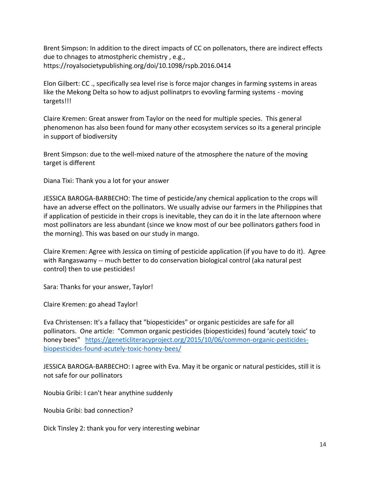Brent Simpson: In addition to the direct impacts of CC on pollenators, there are indirect effects due to chnages to atmostpheric chemistry , e.g., https://royalsocietypublishing.org/doi/10.1098/rspb.2016.0414

Elon Gilbert: CC ., specifically sea level rise is force major changes in farming systems in areas like the Mekong Delta so how to adjust pollinatprs to evovling farming systems - moving targets!!!

Claire Kremen: Great answer from Taylor on the need for multiple species. This general phenomenon has also been found for many other ecosystem services so its a general principle in support of biodiversity

Brent Simpson: due to the well-mixed nature of the atmosphere the nature of the moving target is different

Diana Tixi: Thank you a lot for your answer

JESSICA BAROGA-BARBECHO: The time of pesticide/any chemical application to the crops will have an adverse effect on the pollinators. We usually advise our farmers in the Philippines that if application of pesticide in their crops is inevitable, they can do it in the late afternoon where most pollinators are less abundant (since we know most of our bee pollinators gathers food in the morning). This was based on our study in mango.

Claire Kremen: Agree with Jessica on timing of pesticide application (if you have to do it). Agree with Rangaswamy -- much better to do conservation biological control (aka natural pest control) then to use pesticides!

Sara: Thanks for your answer, Taylor!

Claire Kremen: go ahead Taylor!

Eva Christensen: It's a fallacy that "biopesticides" or organic pesticides are safe for all pollinators. One article: "Common organic pesticides (biopesticides) found 'acutely toxic' to honey bees" [https://geneticliteracyproject.org/2015/10/06/common-organic-pesticides](https://geneticliteracyproject.org/2015/10/06/common-organic-pesticides-biopesticides-found-acutely-toxic-honey-bees/)[biopesticides-found-acutely-toxic-honey-bees/](https://geneticliteracyproject.org/2015/10/06/common-organic-pesticides-biopesticides-found-acutely-toxic-honey-bees/)

JESSICA BAROGA-BARBECHO: I agree with Eva. May it be organic or natural pesticides, still it is not safe for our pollinators

Noubia Gribi: I can't hear anythine suddenly

Noubia Gribi: bad connection?

Dick Tinsley 2: thank you for very interesting webinar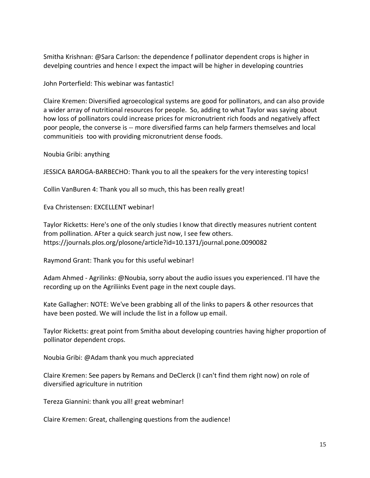Smitha Krishnan: @Sara Carlson: the dependence f pollinator dependent crops is higher in develping countries and hence I expect the impact will be higher in developing countries

John Porterfield: This webinar was fantastic!

Claire Kremen: Diversified agroecological systems are good for pollinators, and can also provide a wider array of nutritional resources for people. So, adding to what Taylor was saying about how loss of pollinators could increase prices for micronutrient rich foods and negatively affect poor people, the converse is -- more diversified farms can help farmers themselves and local communitieis too with providing micronutrient dense foods.

Noubia Gribi: anything

JESSICA BAROGA-BARBECHO: Thank you to all the speakers for the very interesting topics!

Collin VanBuren 4: Thank you all so much, this has been really great!

Eva Christensen: EXCELLENT webinar!

Taylor Ricketts: Here's one of the only studies I know that directly measures nutrient content from pollination. AFter a quick search just now, I see few others. https://journals.plos.org/plosone/article?id=10.1371/journal.pone.0090082

Raymond Grant: Thank you for this useful webinar!

Adam Ahmed - Agrilinks: @Noubia, sorry about the audio issues you experienced. I'll have the recording up on the Agriliinks Event page in the next couple days.

Kate Gallagher: NOTE: We've been grabbing all of the links to papers & other resources that have been posted. We will include the list in a follow up email.

Taylor Ricketts: great point from Smitha about developing countries having higher proportion of pollinator dependent crops.

Noubia Gribi: @Adam thank you much appreciated

Claire Kremen: See papers by Remans and DeClerck (I can't find them right now) on role of diversified agriculture in nutrition

Tereza Giannini: thank you all! great webminar!

Claire Kremen: Great, challenging questions from the audience!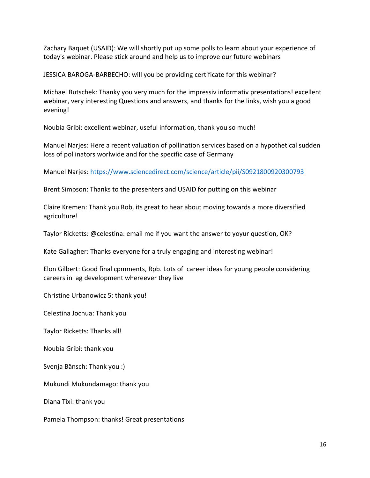Zachary Baquet (USAID): We will shortly put up some polls to learn about your experience of today's webinar. Please stick around and help us to improve our future webinars

JESSICA BAROGA-BARBECHO: will you be providing certificate for this webinar?

Michael Butschek: Thanky you very much for the impressiv informativ presentations! excellent webinar, very interesting Questions and answers, and thanks for the links, wish you a good evening!

Noubia Gribi: excellent webinar, useful information, thank you so much!

Manuel Narjes: Here a recent valuation of pollination services based on a hypothetical sudden loss of pollinators worlwide and for the specific case of Germany

Manuel Narjes:<https://www.sciencedirect.com/science/article/pii/S0921800920300793>

Brent Simpson: Thanks to the presenters and USAID for putting on this webinar

Claire Kremen: Thank you Rob, its great to hear about moving towards a more diversified agriculture!

Taylor Ricketts: @celestina: email me if you want the answer to yoyur question, OK?

Kate Gallagher: Thanks everyone for a truly engaging and interesting webinar!

Elon Gilbert: Good final cpmments, Rpb. Lots of career ideas for young people considering careers in ag development whereever they live

Christine Urbanowicz 5: thank you!

Celestina Jochua: Thank you

Taylor Ricketts: Thanks all!

Noubia Gribi: thank you

Svenja Bänsch: Thank you :)

Mukundi Mukundamago: thank you

Diana Tixi: thank you

Pamela Thompson: thanks! Great presentations